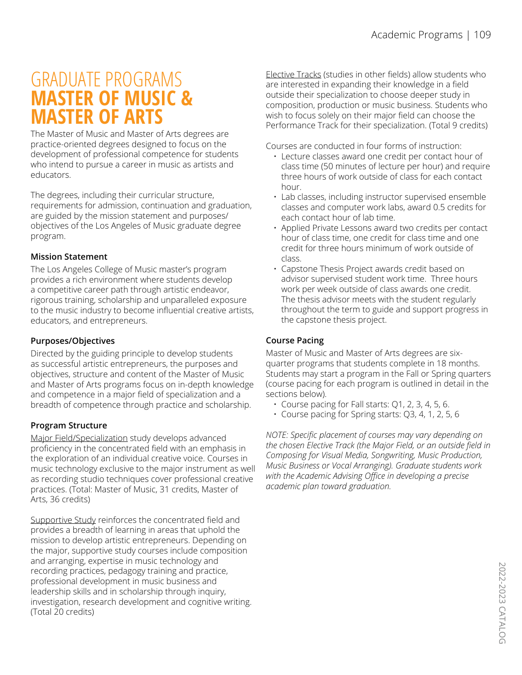# GRADUATE PROGRAMS **MASTER OF MUSIC & MASTER OF ARTS**

The Master of Music and Master of Arts degrees are practice-oriented degrees designed to focus on the development of professional competence for students who intend to pursue a career in music as artists and educators.

The degrees, including their curricular structure, requirements for admission, continuation and graduation, are guided by the mission statement and purposes/ objectives of the Los Angeles of Music graduate degree program.

# **Mission Statement**

The Los Angeles College of Music master's program provides a rich environment where students develop a competitive career path through artistic endeavor, rigorous training, scholarship and unparalleled exposure to the music industry to become influential creative artists, educators, and entrepreneurs.

# **Purposes/Objectives**

Directed by the guiding principle to develop students as successful artistic entrepreneurs, the purposes and objectives, structure and content of the Master of Music and Master of Arts programs focus on in-depth knowledge and competence in a major field of specialization and a breadth of competence through practice and scholarship.

# **Program Structure**

Major Field/Specialization study develops advanced proficiency in the concentrated field with an emphasis in the exploration of an individual creative voice. Courses in music technology exclusive to the major instrument as well as recording studio techniques cover professional creative practices. (Total: Master of Music, 31 credits, Master of Arts, 36 credits)

Supportive Study reinforces the concentrated field and provides a breadth of learning in areas that uphold the mission to develop artistic entrepreneurs. Depending on the major, supportive study courses include composition and arranging, expertise in music technology and recording practices, pedagogy training and practice, professional development in music business and leadership skills and in scholarship through inquiry, investigation, research development and cognitive writing. (Total 20 credits)

Elective Tracks (studies in other fields) allow students who are interested in expanding their knowledge in a field outside their specialization to choose deeper study in composition, production or music business. Students who wish to focus solely on their major field can choose the Performance Track for their specialization. (Total 9 credits)

Courses are conducted in four forms of instruction:

- Lecture classes award one credit per contact hour of class time (50 minutes of lecture per hour) and require three hours of work outside of class for each contact hour.
- Lab classes, including instructor supervised ensemble classes and computer work labs, award 0.5 credits for each contact hour of lab time.
- Applied Private Lessons award two credits per contact hour of class time, one credit for class time and one credit for three hours minimum of work outside of class.
- Capstone Thesis Project awards credit based on advisor supervised student work time. Three hours work per week outside of class awards one credit. The thesis advisor meets with the student regularly throughout the term to guide and support progress in the capstone thesis project.

# **Course Pacing**

Master of Music and Master of Arts degrees are sixquarter programs that students complete in 18 months. Students may start a program in the Fall or Spring quarters (course pacing for each program is outlined in detail in the sections below).

- Course pacing for Fall starts: Q1, 2, 3, 4, 5, 6.
- Course pacing for Spring starts: Q3, 4, 1, 2, 5, 6

*NOTE: Specific placement of courses may vary depending on the chosen Elective Track (the Major Field, or an outside field in Composing for Visual Media, Songwriting, Music Production, Music Business or Vocal Arranging). Graduate students work with the Academic Advising Office in developing a precise academic plan toward graduation.*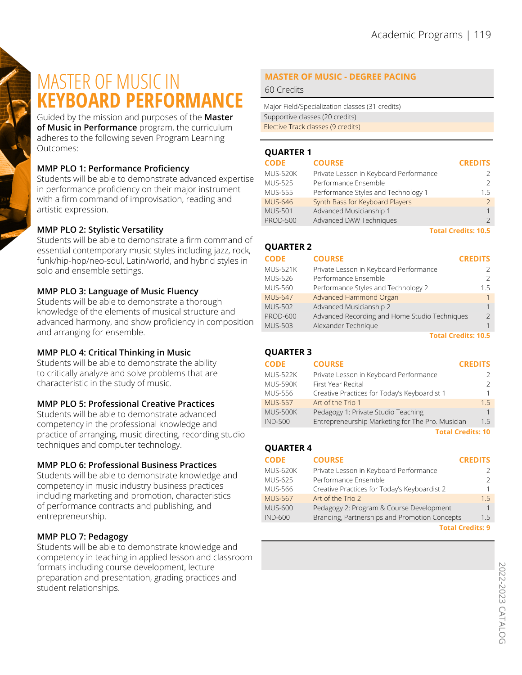# MASTER OF MUSIC IN **KEYBOARD PERFORMANCE**

Guided by the mission and purposes of the **Master of Music in Performance** program, the curriculum adheres to the following seven Program Learning Outcomes:

# **MMP PLO 1: Performance Proficiency**

Students will be able to demonstrate advanced expertise in performance proficiency on their major instrument with a firm command of improvisation, reading and artistic expression.

# **MMP PLO 2: Stylistic Versatility**

Students will be able to demonstrate a firm command of essential contemporary music styles including jazz, rock, funk/hip-hop/neo-soul, Latin/world, and hybrid styles in solo and ensemble settings.

# **MMP PLO 3: Language of Music Fluency**

Students will be able to demonstrate a thorough knowledge of the elements of musical structure and advanced harmony, and show proficiency in composition and arranging for ensemble.

# **MMP PLO 4: Critical Thinking in Music**

Students will be able to demonstrate the ability to critically analyze and solve problems that are characteristic in the study of music.

# **MMP PLO 5: Professional Creative Practices**

Students will be able to demonstrate advanced competency in the professional knowledge and practice of arranging, music directing, recording studio techniques and computer technology.

# **MMP PLO 6: Professional Business Practices**

Students will be able to demonstrate knowledge and competency in music industry business practices including marketing and promotion, characteristics of performance contracts and publishing, and entrepreneurship.

# **MMP PLO 7: Pedagogy**

Students will be able to demonstrate knowledge and competency in teaching in applied lesson and classroom formats including course development, lecture preparation and presentation, grading practices and student relationships.

# **MASTER OF MUSIC - DEGREE PACING**

60 Credits

Major Field/Specialization classes (31 credits) Supportive classes (20 credits) Elective Track classes (9 credits)

# **QUARTER 1**

**QUARTER 2**

| <b>CODE</b>     | <b>COURSE</b>                          | <b>CREDITS</b> |
|-----------------|----------------------------------------|----------------|
| <b>MUS-520K</b> | Private Lesson in Keyboard Performance | 2              |
| <b>MUS-525</b>  | Performance Ensemble                   | $\mathcal{P}$  |
| <b>MUS-555</b>  | Performance Styles and Technology 1    | $1.5\,$        |
| <b>MUS-646</b>  | Synth Bass for Keyboard Players        | $\mathcal{P}$  |
| <b>MUS-501</b>  | Advanced Musicianship 1                | 1              |
| <b>PROD-500</b> | Advanced DAW Techniques                | $\mathcal{P}$  |
|                 |                                        |                |

**Total Credits: 10.5**

| ----------      |                                               |                          |
|-----------------|-----------------------------------------------|--------------------------|
| <b>CODE</b>     | <b>COURSE</b>                                 | <b>CREDITS</b>           |
| <b>MUS-521K</b> | Private Lesson in Keyboard Performance        | $\mathcal{P}$            |
| <b>MUS-526</b>  | Performance Ensemble                          | $\mathcal{P}$            |
| <b>MUS-560</b>  | Performance Styles and Technology 2           | 1.5                      |
| <b>MUS-647</b>  | Advanced Hammond Organ                        | $\mathbf{1}$             |
| <b>MUS-502</b>  | Advanced Musicianship 2                       | $\mathbf{1}$             |
| <b>PROD-600</b> | Advanced Recording and Home Studio Techniques | $\overline{\phantom{0}}$ |
| <b>MUS-503</b>  | Alexander Technique                           | 1                        |
|                 |                                               |                          |

**Total Credits: 10.5**

# **QUARTER 3**

#### **CODE** MUS-522K MUS-590K MUS-556 MUS-557 MUS-500K IND-500 **CREDITS** 2 2 1 1.5 1 1.5 **Total Credits: 10 COURSE** Private Lesson in Keyboard Performance First Year Recital Creative Practices for Today's Keyboardist 1 Art of the Trio 1 Pedagogy 1: Private Studio Teaching Entrepreneurship Marketing for The Pro. Musician

**QUARTER 4**

| <b>CODE</b>     | <b>COURSE</b>                                 | <b>CREDITS</b>          |
|-----------------|-----------------------------------------------|-------------------------|
| <b>MUS-620K</b> | Private Lesson in Keyboard Performance        |                         |
| <b>MUS-625</b>  | Performance Ensemble                          | $\mathcal{P}$           |
| <b>MUS-566</b>  | Creative Practices for Today's Keyboardist 2  | $\mathbf{1}$            |
| <b>MUS-567</b>  | Art of the Trio 2                             | 15                      |
| <b>MUS-600</b>  | Pedagogy 2: Program & Course Development      |                         |
| <b>IND-600</b>  | Branding, Partnerships and Promotion Concepts | 15                      |
|                 |                                               | <b>Total Credits: 9</b> |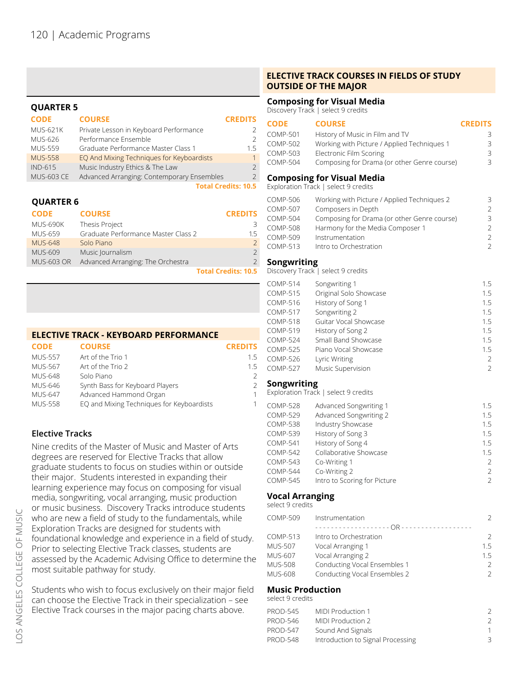#### **CODE** MUS-621K MUS-626 MUS-559 MUS-558 IND-615 MUS-603 CE **CREDITS** 1.5 **Total Credits: 10.5 COURSE** Private Lesson in Keyboard Performance Performance Ensemble Graduate Performance Master Class 1 EQ And Mixing Techniques for Keyboardists Music Industry Ethics & The Law Advanced Arranging: Contemporary Ensembles **QUARTER 5**

# **QUARTER 6**

| <b>CODE</b>       | <b>COURSE</b>                       | <b>CREDITS</b>             |
|-------------------|-------------------------------------|----------------------------|
| <b>MUS-690K</b>   | Thesis Project                      | 3                          |
| <b>MUS-659</b>    | Graduate Performance Master Class 2 | 15                         |
| <b>MUS-648</b>    | Solo Piano                          |                            |
| <b>MUS-609</b>    | Music Journalism                    | $\mathcal{P}$              |
| <b>MUS-603 OR</b> | Advanced Arranging: The Orchestra   |                            |
|                   |                                     | <b>Total Credits: 10.5</b> |

### **ELECTIVE TRACK - KEYBOARD PERFORMANCE**

| <b>COURSE</b>                             | <b>CREDITS</b> |
|-------------------------------------------|----------------|
| Art of the Trio 1                         | 1.5            |
| Art of the Trio 2                         | 1.5            |
| Solo Piano                                | $\mathcal{L}$  |
| Synth Bass for Keyboard Players           | $\mathcal{L}$  |
| Advanced Hammond Organ                    | 1              |
| EQ and Mixing Techniques for Keyboardists | 1              |
|                                           |                |

# **Elective Tracks**

Nine credits of the Master of Music and Master of Arts degrees are reserved for Elective Tracks that allow graduate students to focus on studies within or outside their major. Students interested in expanding their learning experience may focus on composing for visual media, songwriting, vocal arranging, music production or music business. Discovery Tracks introduce students who are new a field of study to the fundamentals, while Exploration Tracks are designed for students with foundational knowledge and experience in a field of study. Prior to selecting Elective Track classes, students are assessed by the Academic Advising Office to determine the most suitable pathway for study.

Students who wish to focus exclusively on their major field can choose the Elective Track in their specialization – see Elective Track courses in the major pacing charts above.

### **ELECTIVE TRACK COURSES IN FIELDS OF STUDY OUTSIDE OF THE MAJOR**

#### **Composing for Visual Media**

 $\overline{\phantom{0}}$ 2

1 2 2 Discovery Track | select 9 credits

#### **CODE** COMP-501 COMP-502 COMP-503 COMP-504 **CREDITS** 3 3 3 3 **COURSE** History of Music in Film and TV Working with Picture / Applied Techniques 1 Electronic Film Scoring Composing for Drama (or other Genre course) COMP-506 COMP-507 COMP-504 COMP-508 COMP-509 COMP-513 3  $\overline{\phantom{0}}$ 3 2  $\overline{\phantom{0}}$ 2 Working with Picture / Applied Techniques 2 Composers in Depth Composing for Drama (or other Genre course) Harmony for the Media Composer 1 Instrumentation Intro to Orchestration **Composing for Visual Media** Exploration Track | select 9 credits COMP-514 COMP-515 COMP-516 COMP-517 COMP-518 COMP-519 COMP-524 COMP-525 COMP-526 COMP-527 1.5 1.5 1.5 1.5 1.5 1.5 1.5 1.5 2 2 Songwriting 1 Original Solo Showcase History of Song 1 Songwriting 2 Guitar Vocal Showcase History of Song 2 Small Band Showcase Piano Vocal Showcase Lyric Writing Music Supervision **Songwriting** Discovery Track | select 9 credits COMP-528 COMP-529 COMP-538 COMP-539 COMP-541 COMP-542 COMP-543 COMP-544 COMP-545 1.5 1.5 1.5 1.5 1.5 1.5 2  $\mathcal{L}$ 2 Advanced Songwriting 1 Advanced Songwriting 2 Industry Showcase History of Song 3 History of Song 4 Collaborative Showcase Co-Writing 1 Co-Writing 2 Intro to Scoring for Picture **Songwriting** Exploration Track | select 9 credits

#### **Vocal Arranging**

select 9 credits

COMP-509 Instrumentation - - - - - - - - - - - - - - - - - - - OR - - - - - - - - - - - - - - - - - -

 $\overline{\phantom{0}}$ 

#### COMP-513 MUS-507 MUS-607 MUS-508 MUS-608 2 1.5 1.5 2  $\mathcal{L}$ Intro to Orchestration Vocal Arranging 1 Vocal Arranging 2 Conducting Vocal Ensembles 1 Conducting Vocal Ensembles 2

#### **Music Production**

select 9 credits

| <b>PROD-545</b> | MIDI Production 1                 |               |
|-----------------|-----------------------------------|---------------|
| <b>PROD-546</b> | MIDI Production 2                 | $\mathcal{L}$ |
| <b>PROD-547</b> | Sound And Signals                 |               |
| <b>PROD-548</b> | Introduction to Signal Processing | 3             |
|                 |                                   |               |